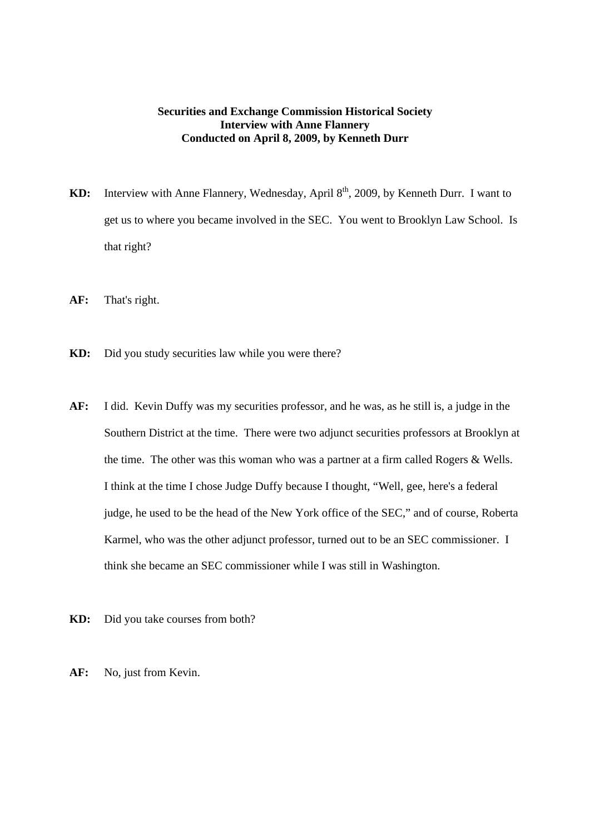## **Securities and Exchange Commission Historical Society Interview with Anne Flannery Conducted on April 8, 2009, by Kenneth Durr**

- KD: Interview with Anne Flannery, Wednesday, April 8<sup>th</sup>, 2009, by Kenneth Durr. I want to get us to where you became involved in the SEC. You went to Brooklyn Law School. Is that right?
- **AF:** That's right.
- **KD:** Did you study securities law while you were there?
- **AF:** I did. Kevin Duffy was my securities professor, and he was, as he still is, a judge in the Southern District at the time. There were two adjunct securities professors at Brooklyn at the time. The other was this woman who was a partner at a firm called Rogers & Wells. I think at the time I chose Judge Duffy because I thought, "Well, gee, here's a federal judge, he used to be the head of the New York office of the SEC," and of course, Roberta Karmel, who was the other adjunct professor, turned out to be an SEC commissioner. I think she became an SEC commissioner while I was still in Washington.
- **KD:** Did you take courses from both?
- **AF:** No, just from Kevin.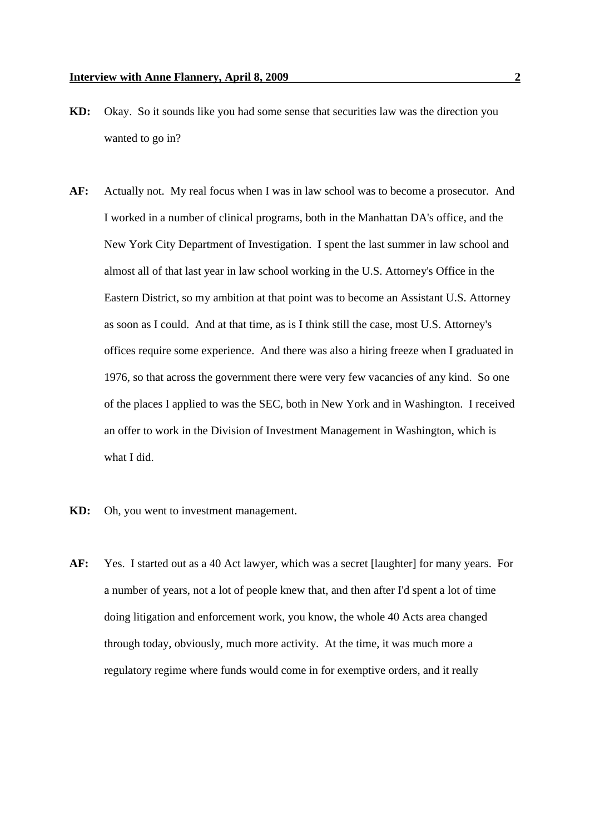- **KD:** Okay. So it sounds like you had some sense that securities law was the direction you wanted to go in?
- **AF:** Actually not. My real focus when I was in law school was to become a prosecutor. And I worked in a number of clinical programs, both in the Manhattan DA's office, and the New York City Department of Investigation. I spent the last summer in law school and almost all of that last year in law school working in the U.S. Attorney's Office in the Eastern District, so my ambition at that point was to become an Assistant U.S. Attorney as soon as I could. And at that time, as is I think still the case, most U.S. Attorney's offices require some experience. And there was also a hiring freeze when I graduated in 1976, so that across the government there were very few vacancies of any kind. So one of the places I applied to was the SEC, both in New York and in Washington. I received an offer to work in the Division of Investment Management in Washington, which is what I did.
- **KD:** Oh, you went to investment management.
- **AF:** Yes. I started out as a 40 Act lawyer, which was a secret [laughter] for many years. For a number of years, not a lot of people knew that, and then after I'd spent a lot of time doing litigation and enforcement work, you know, the whole 40 Acts area changed through today, obviously, much more activity. At the time, it was much more a regulatory regime where funds would come in for exemptive orders, and it really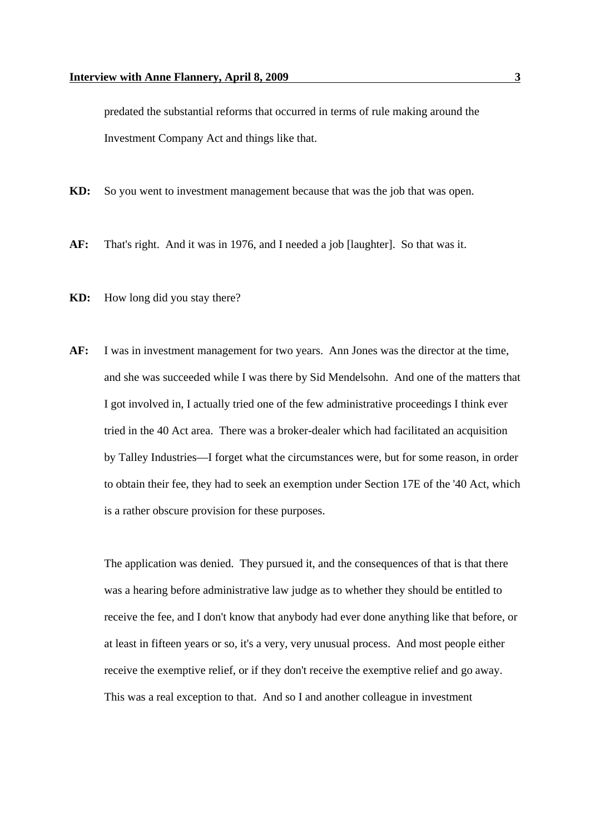predated the substantial reforms that occurred in terms of rule making around the Investment Company Act and things like that.

- **KD:** So you went to investment management because that was the job that was open.
- **AF:** That's right. And it was in 1976, and I needed a job [laughter]. So that was it.
- **KD:** How long did you stay there?
- **AF:** I was in investment management for two years. Ann Jones was the director at the time, and she was succeeded while I was there by Sid Mendelsohn. And one of the matters that I got involved in, I actually tried one of the few administrative proceedings I think ever tried in the 40 Act area. There was a broker-dealer which had facilitated an acquisition by Talley Industries—I forget what the circumstances were, but for some reason, in order to obtain their fee, they had to seek an exemption under Section 17E of the '40 Act, which is a rather obscure provision for these purposes.

The application was denied. They pursued it, and the consequences of that is that there was a hearing before administrative law judge as to whether they should be entitled to receive the fee, and I don't know that anybody had ever done anything like that before, or at least in fifteen years or so, it's a very, very unusual process. And most people either receive the exemptive relief, or if they don't receive the exemptive relief and go away. This was a real exception to that. And so I and another colleague in investment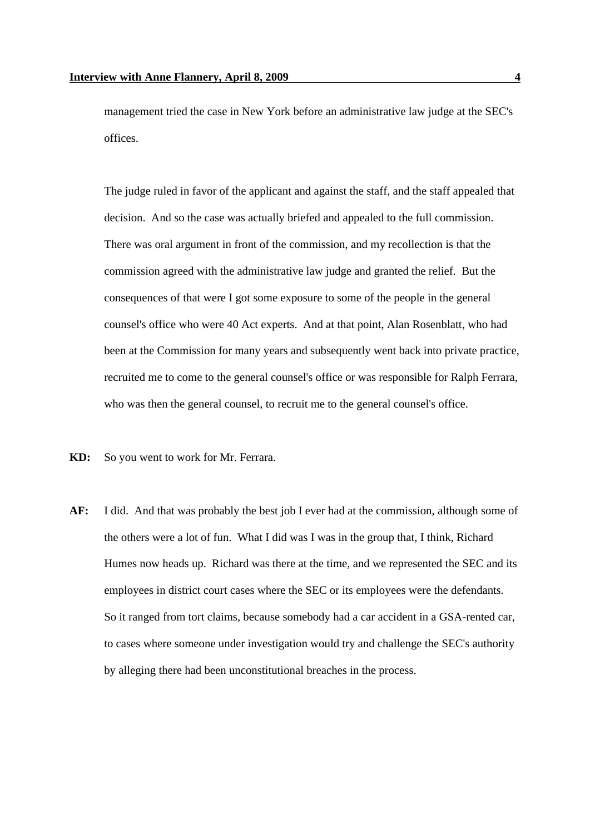management tried the case in New York before an administrative law judge at the SEC's offices.

The judge ruled in favor of the applicant and against the staff, and the staff appealed that decision. And so the case was actually briefed and appealed to the full commission. There was oral argument in front of the commission, and my recollection is that the commission agreed with the administrative law judge and granted the relief. But the consequences of that were I got some exposure to some of the people in the general counsel's office who were 40 Act experts. And at that point, Alan Rosenblatt, who had been at the Commission for many years and subsequently went back into private practice, recruited me to come to the general counsel's office or was responsible for Ralph Ferrara, who was then the general counsel, to recruit me to the general counsel's office.

- **KD:** So you went to work for Mr. Ferrara.
- **AF:** I did. And that was probably the best job I ever had at the commission, although some of the others were a lot of fun. What I did was I was in the group that, I think, Richard Humes now heads up. Richard was there at the time, and we represented the SEC and its employees in district court cases where the SEC or its employees were the defendants. So it ranged from tort claims, because somebody had a car accident in a GSA-rented car, to cases where someone under investigation would try and challenge the SEC's authority by alleging there had been unconstitutional breaches in the process.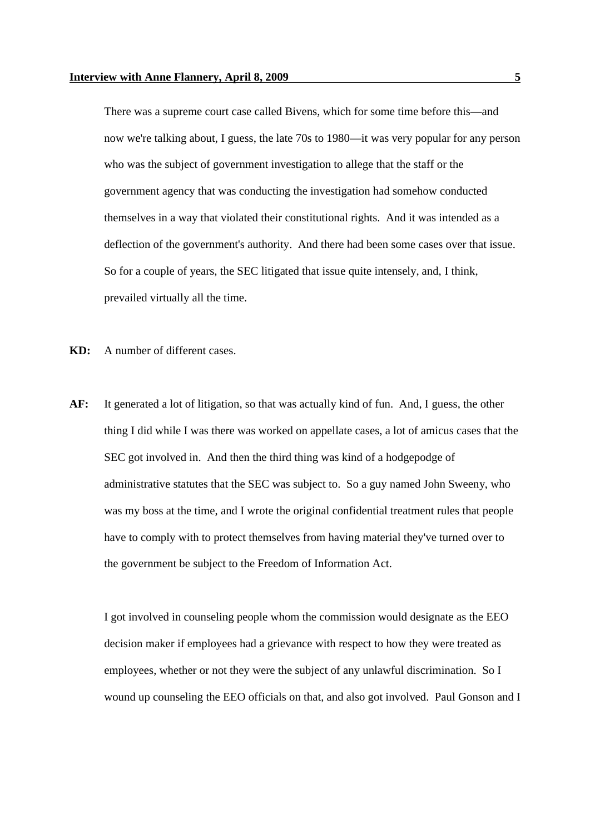There was a supreme court case called Bivens, which for some time before this—and now we're talking about, I guess, the late 70s to 1980—it was very popular for any person who was the subject of government investigation to allege that the staff or the government agency that was conducting the investigation had somehow conducted themselves in a way that violated their constitutional rights. And it was intended as a deflection of the government's authority. And there had been some cases over that issue. So for a couple of years, the SEC litigated that issue quite intensely, and, I think, prevailed virtually all the time.

- **KD:** A number of different cases.
- **AF:** It generated a lot of litigation, so that was actually kind of fun. And, I guess, the other thing I did while I was there was worked on appellate cases, a lot of amicus cases that the SEC got involved in. And then the third thing was kind of a hodgepodge of administrative statutes that the SEC was subject to. So a guy named John Sweeny, who was my boss at the time, and I wrote the original confidential treatment rules that people have to comply with to protect themselves from having material they've turned over to the government be subject to the Freedom of Information Act.

I got involved in counseling people whom the commission would designate as the EEO decision maker if employees had a grievance with respect to how they were treated as employees, whether or not they were the subject of any unlawful discrimination. So I wound up counseling the EEO officials on that, and also got involved. Paul Gonson and I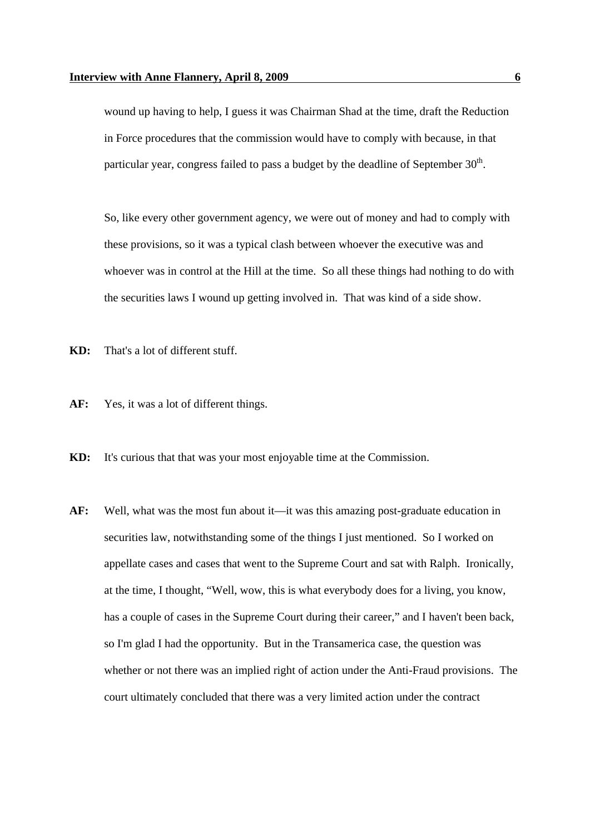wound up having to help, I guess it was Chairman Shad at the time, draft the Reduction in Force procedures that the commission would have to comply with because, in that particular year, congress failed to pass a budget by the deadline of September 30<sup>th</sup>.

So, like every other government agency, we were out of money and had to comply with these provisions, so it was a typical clash between whoever the executive was and whoever was in control at the Hill at the time. So all these things had nothing to do with the securities laws I wound up getting involved in. That was kind of a side show.

- **KD:** That's a lot of different stuff.
- **AF:** Yes, it was a lot of different things.
- **KD:** It's curious that that was your most enjoyable time at the Commission.
- **AF:** Well, what was the most fun about it—it was this amazing post-graduate education in securities law, notwithstanding some of the things I just mentioned. So I worked on appellate cases and cases that went to the Supreme Court and sat with Ralph. Ironically, at the time, I thought, "Well, wow, this is what everybody does for a living, you know, has a couple of cases in the Supreme Court during their career," and I haven't been back, so I'm glad I had the opportunity. But in the Transamerica case, the question was whether or not there was an implied right of action under the Anti-Fraud provisions. The court ultimately concluded that there was a very limited action under the contract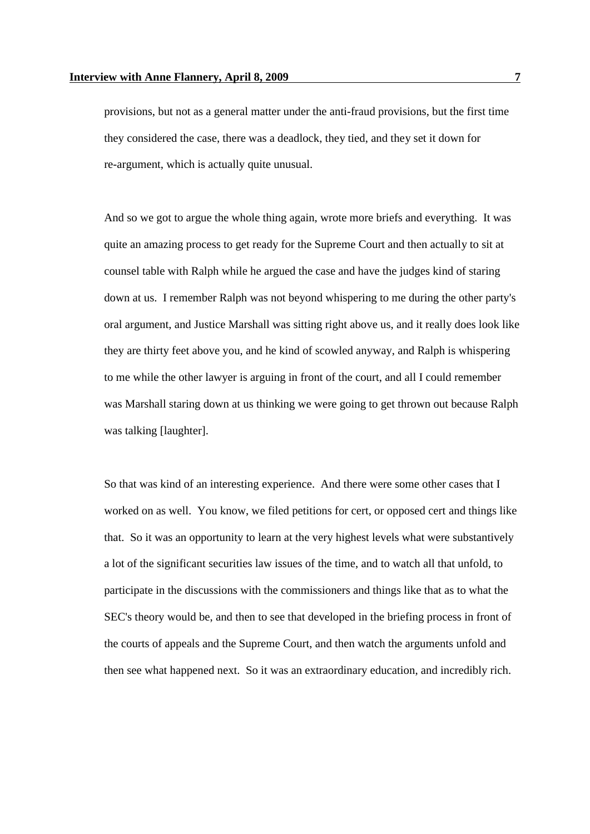provisions, but not as a general matter under the anti-fraud provisions, but the first time they considered the case, there was a deadlock, they tied, and they set it down for re-argument, which is actually quite unusual.

And so we got to argue the whole thing again, wrote more briefs and everything. It was quite an amazing process to get ready for the Supreme Court and then actually to sit at counsel table with Ralph while he argued the case and have the judges kind of staring down at us. I remember Ralph was not beyond whispering to me during the other party's oral argument, and Justice Marshall was sitting right above us, and it really does look like they are thirty feet above you, and he kind of scowled anyway, and Ralph is whispering to me while the other lawyer is arguing in front of the court, and all I could remember was Marshall staring down at us thinking we were going to get thrown out because Ralph was talking [laughter].

So that was kind of an interesting experience. And there were some other cases that I worked on as well. You know, we filed petitions for cert, or opposed cert and things like that. So it was an opportunity to learn at the very highest levels what were substantively a lot of the significant securities law issues of the time, and to watch all that unfold, to participate in the discussions with the commissioners and things like that as to what the SEC's theory would be, and then to see that developed in the briefing process in front of the courts of appeals and the Supreme Court, and then watch the arguments unfold and then see what happened next. So it was an extraordinary education, and incredibly rich.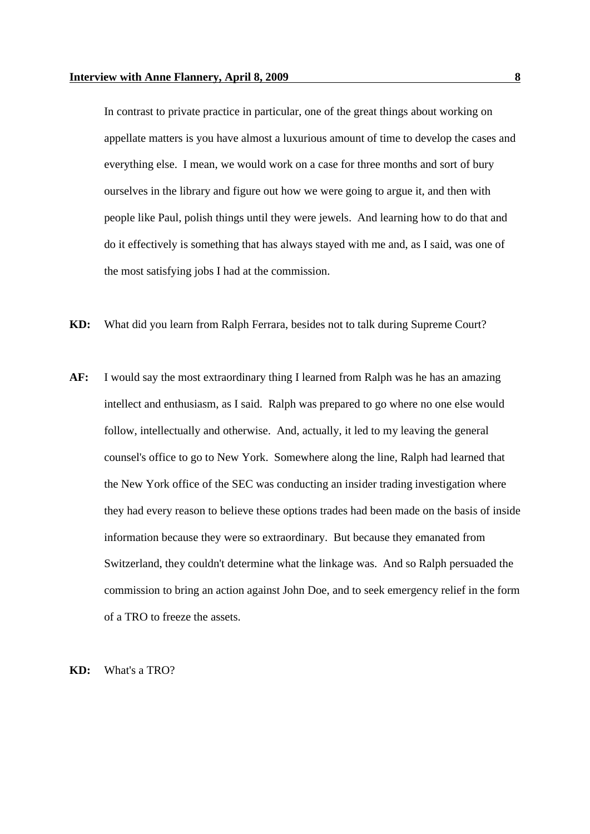In contrast to private practice in particular, one of the great things about working on appellate matters is you have almost a luxurious amount of time to develop the cases and everything else. I mean, we would work on a case for three months and sort of bury ourselves in the library and figure out how we were going to argue it, and then with people like Paul, polish things until they were jewels. And learning how to do that and do it effectively is something that has always stayed with me and, as I said, was one of the most satisfying jobs I had at the commission.

- **KD:** What did you learn from Ralph Ferrara, besides not to talk during Supreme Court?
- **AF:** I would say the most extraordinary thing I learned from Ralph was he has an amazing intellect and enthusiasm, as I said. Ralph was prepared to go where no one else would follow, intellectually and otherwise. And, actually, it led to my leaving the general counsel's office to go to New York. Somewhere along the line, Ralph had learned that the New York office of the SEC was conducting an insider trading investigation where they had every reason to believe these options trades had been made on the basis of inside information because they were so extraordinary. But because they emanated from Switzerland, they couldn't determine what the linkage was. And so Ralph persuaded the commission to bring an action against John Doe, and to seek emergency relief in the form of a TRO to freeze the assets.

**KD:** What's a TRO?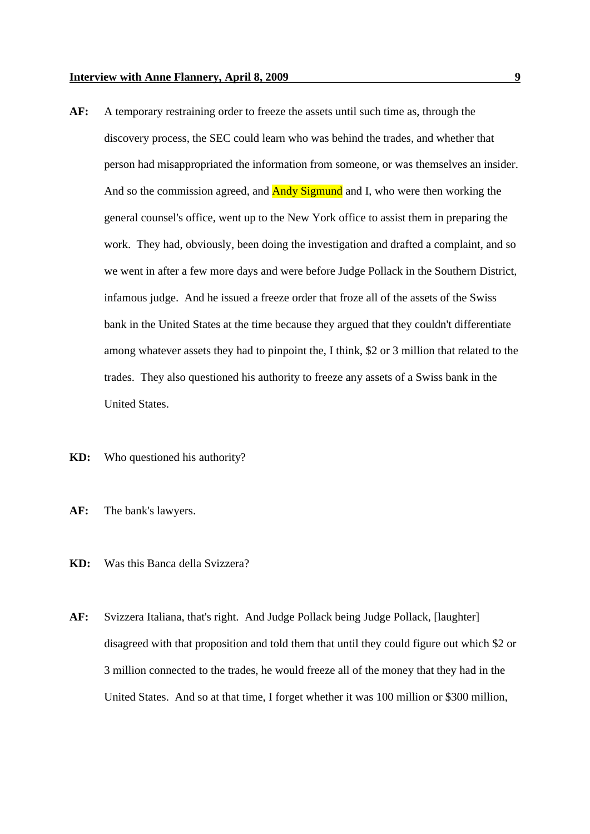- **AF:** A temporary restraining order to freeze the assets until such time as, through the discovery process, the SEC could learn who was behind the trades, and whether that person had misappropriated the information from someone, or was themselves an insider. And so the commission agreed, and **Andy Sigmund** and I, who were then working the general counsel's office, went up to the New York office to assist them in preparing the work. They had, obviously, been doing the investigation and drafted a complaint, and so we went in after a few more days and were before Judge Pollack in the Southern District, infamous judge. And he issued a freeze order that froze all of the assets of the Swiss bank in the United States at the time because they argued that they couldn't differentiate among whatever assets they had to pinpoint the, I think, \$2 or 3 million that related to the trades. They also questioned his authority to freeze any assets of a Swiss bank in the United States.
- **KD:** Who questioned his authority?
- **AF:** The bank's lawyers.
- **KD:** Was this Banca della Svizzera?
- **AF:** Svizzera Italiana, that's right. And Judge Pollack being Judge Pollack, [laughter] disagreed with that proposition and told them that until they could figure out which \$2 or 3 million connected to the trades, he would freeze all of the money that they had in the United States. And so at that time, I forget whether it was 100 million or \$300 million,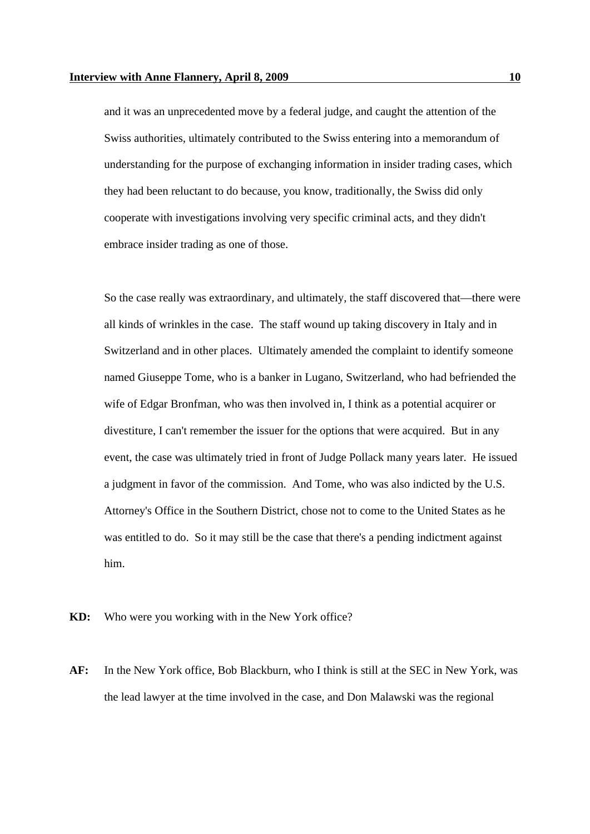and it was an unprecedented move by a federal judge, and caught the attention of the Swiss authorities, ultimately contributed to the Swiss entering into a memorandum of understanding for the purpose of exchanging information in insider trading cases, which they had been reluctant to do because, you know, traditionally, the Swiss did only cooperate with investigations involving very specific criminal acts, and they didn't embrace insider trading as one of those.

So the case really was extraordinary, and ultimately, the staff discovered that—there were all kinds of wrinkles in the case. The staff wound up taking discovery in Italy and in Switzerland and in other places. Ultimately amended the complaint to identify someone named Giuseppe Tome, who is a banker in Lugano, Switzerland, who had befriended the wife of Edgar Bronfman, who was then involved in, I think as a potential acquirer or divestiture, I can't remember the issuer for the options that were acquired. But in any event, the case was ultimately tried in front of Judge Pollack many years later. He issued a judgment in favor of the commission. And Tome, who was also indicted by the U.S. Attorney's Office in the Southern District, chose not to come to the United States as he was entitled to do. So it may still be the case that there's a pending indictment against him.

**KD:** Who were you working with in the New York office?

**AF:** In the New York office, Bob Blackburn, who I think is still at the SEC in New York, was the lead lawyer at the time involved in the case, and Don Malawski was the regional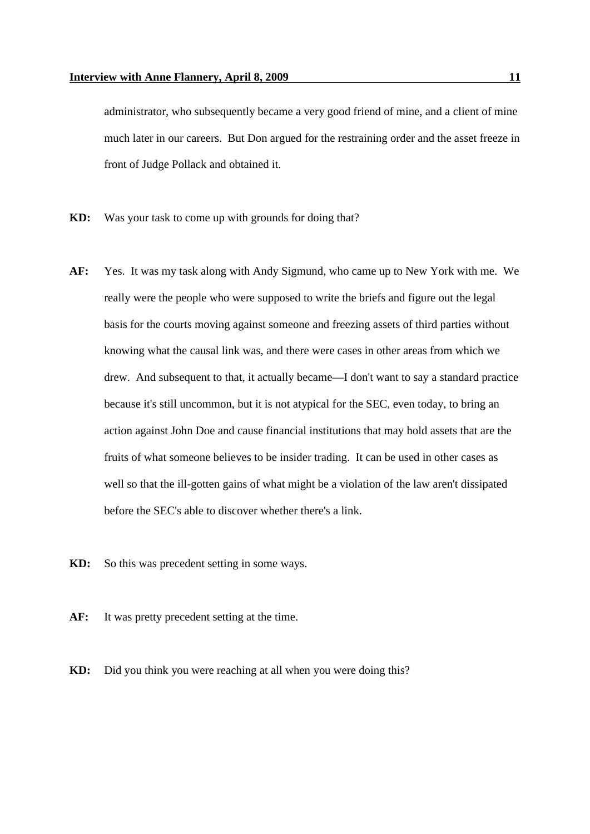administrator, who subsequently became a very good friend of mine, and a client of mine much later in our careers. But Don argued for the restraining order and the asset freeze in front of Judge Pollack and obtained it.

- **KD:** Was your task to come up with grounds for doing that?
- **AF:** Yes. It was my task along with Andy Sigmund, who came up to New York with me. We really were the people who were supposed to write the briefs and figure out the legal basis for the courts moving against someone and freezing assets of third parties without knowing what the causal link was, and there were cases in other areas from which we drew. And subsequent to that, it actually became—I don't want to say a standard practice because it's still uncommon, but it is not atypical for the SEC, even today, to bring an action against John Doe and cause financial institutions that may hold assets that are the fruits of what someone believes to be insider trading. It can be used in other cases as well so that the ill-gotten gains of what might be a violation of the law aren't dissipated before the SEC's able to discover whether there's a link.
- **KD:** So this was precedent setting in some ways.
- **AF:** It was pretty precedent setting at the time.
- **KD:** Did you think you were reaching at all when you were doing this?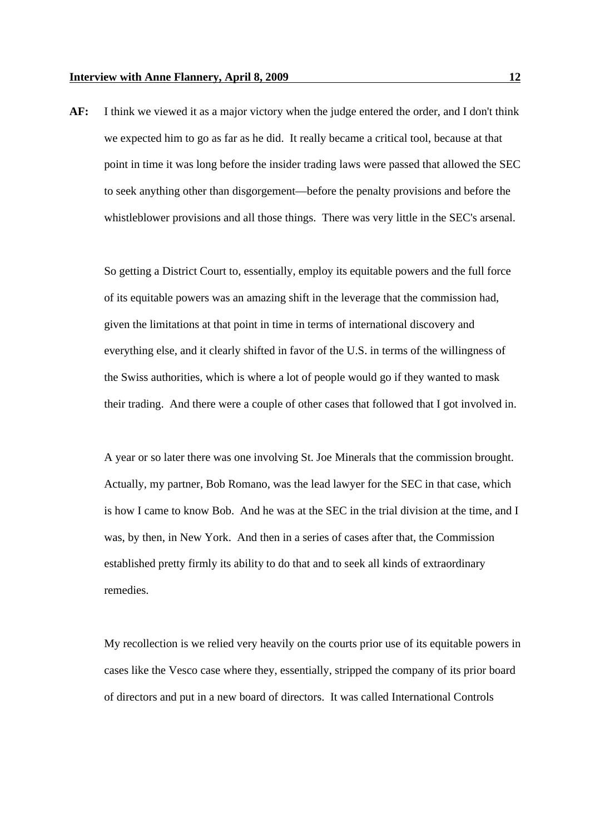**AF:** I think we viewed it as a major victory when the judge entered the order, and I don't think we expected him to go as far as he did. It really became a critical tool, because at that point in time it was long before the insider trading laws were passed that allowed the SEC to seek anything other than disgorgement—before the penalty provisions and before the whistleblower provisions and all those things. There was very little in the SEC's arsenal.

So getting a District Court to, essentially, employ its equitable powers and the full force of its equitable powers was an amazing shift in the leverage that the commission had, given the limitations at that point in time in terms of international discovery and everything else, and it clearly shifted in favor of the U.S. in terms of the willingness of the Swiss authorities, which is where a lot of people would go if they wanted to mask their trading. And there were a couple of other cases that followed that I got involved in.

A year or so later there was one involving St. Joe Minerals that the commission brought. Actually, my partner, Bob Romano, was the lead lawyer for the SEC in that case, which is how I came to know Bob. And he was at the SEC in the trial division at the time, and I was, by then, in New York. And then in a series of cases after that, the Commission established pretty firmly its ability to do that and to seek all kinds of extraordinary remedies.

My recollection is we relied very heavily on the courts prior use of its equitable powers in cases like the Vesco case where they, essentially, stripped the company of its prior board of directors and put in a new board of directors. It was called International Controls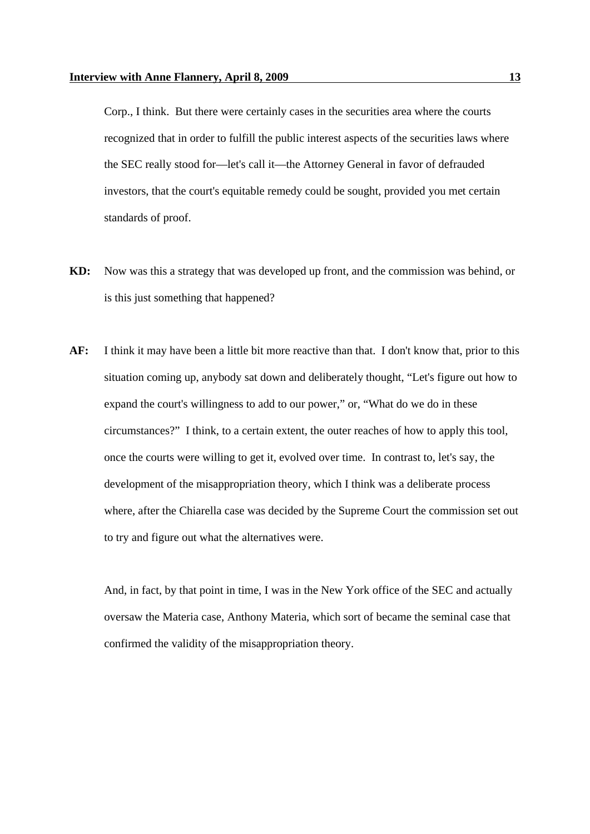Corp., I think. But there were certainly cases in the securities area where the courts recognized that in order to fulfill the public interest aspects of the securities laws where the SEC really stood for—let's call it—the Attorney General in favor of defrauded investors, that the court's equitable remedy could be sought, provided you met certain standards of proof.

- **KD:** Now was this a strategy that was developed up front, and the commission was behind, or is this just something that happened?
- **AF:** I think it may have been a little bit more reactive than that. I don't know that, prior to this situation coming up, anybody sat down and deliberately thought, "Let's figure out how to expand the court's willingness to add to our power," or, "What do we do in these circumstances?" I think, to a certain extent, the outer reaches of how to apply this tool, once the courts were willing to get it, evolved over time. In contrast to, let's say, the development of the misappropriation theory, which I think was a deliberate process where, after the Chiarella case was decided by the Supreme Court the commission set out to try and figure out what the alternatives were.

And, in fact, by that point in time, I was in the New York office of the SEC and actually oversaw the Materia case, Anthony Materia, which sort of became the seminal case that confirmed the validity of the misappropriation theory.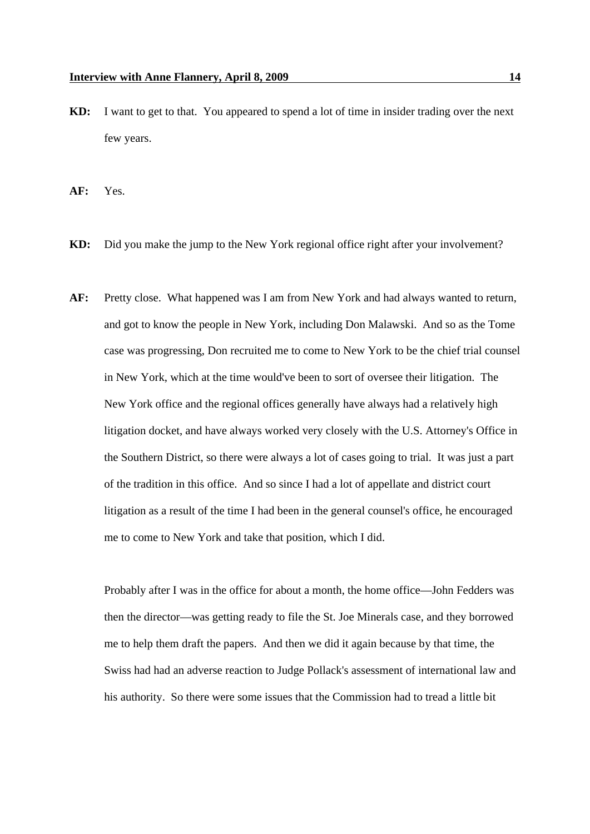**KD:** I want to get to that. You appeared to spend a lot of time in insider trading over the next few years.

**AF:** Yes.

- **KD:** Did you make the jump to the New York regional office right after your involvement?
- **AF:** Pretty close. What happened was I am from New York and had always wanted to return, and got to know the people in New York, including Don Malawski. And so as the Tome case was progressing, Don recruited me to come to New York to be the chief trial counsel in New York, which at the time would've been to sort of oversee their litigation. The New York office and the regional offices generally have always had a relatively high litigation docket, and have always worked very closely with the U.S. Attorney's Office in the Southern District, so there were always a lot of cases going to trial. It was just a part of the tradition in this office. And so since I had a lot of appellate and district court litigation as a result of the time I had been in the general counsel's office, he encouraged me to come to New York and take that position, which I did.

Probably after I was in the office for about a month, the home office—John Fedders was then the director—was getting ready to file the St. Joe Minerals case, and they borrowed me to help them draft the papers. And then we did it again because by that time, the Swiss had had an adverse reaction to Judge Pollack's assessment of international law and his authority. So there were some issues that the Commission had to tread a little bit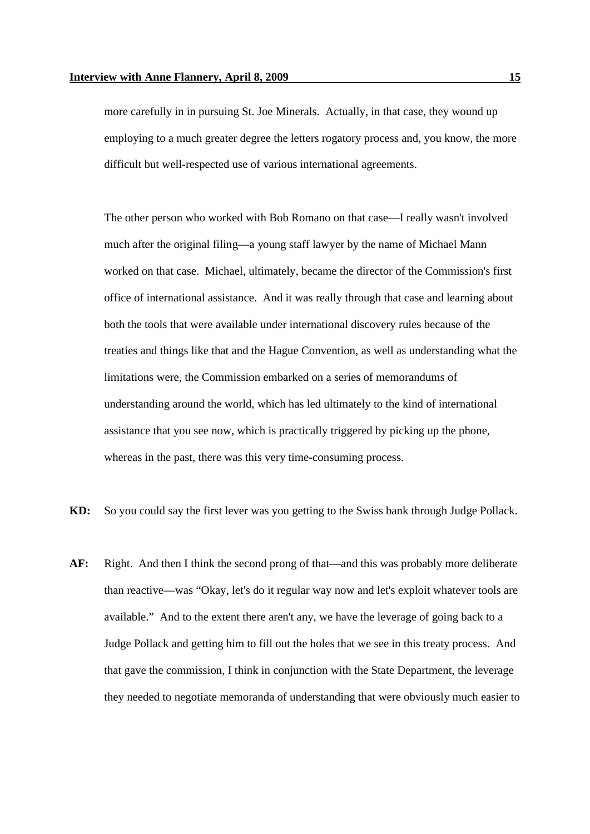more carefully in in pursuing St. Joe Minerals. Actually, in that case, they wound up employing to a much greater degree the letters rogatory process and, you know, the more difficult but well-respected use of various international agreements.

The other person who worked with Bob Romano on that case—I really wasn't involved much after the original filing—a young staff lawyer by the name of Michael Mann worked on that case. Michael, ultimately, became the director of the Commission's first office of international assistance. And it was really through that case and learning about both the tools that were available under international discovery rules because of the treaties and things like that and the Hague Convention, as well as understanding what the limitations were, the Commission embarked on a series of memorandums of understanding around the world, which has led ultimately to the kind of international assistance that you see now, which is practically triggered by picking up the phone, whereas in the past, there was this very time-consuming process.

- **KD:** So you could say the first lever was you getting to the Swiss bank through Judge Pollack.
- **AF:** Right. And then I think the second prong of that—and this was probably more deliberate than reactive—was "Okay, let's do it regular way now and let's exploit whatever tools are available." And to the extent there aren't any, we have the leverage of going back to a Judge Pollack and getting him to fill out the holes that we see in this treaty process. And that gave the commission, I think in conjunction with the State Department, the leverage they needed to negotiate memoranda of understanding that were obviously much easier to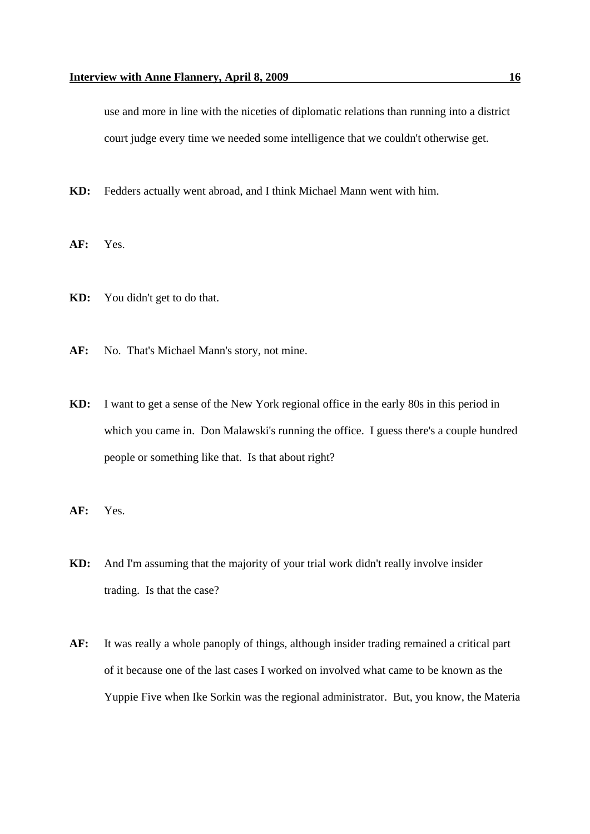use and more in line with the niceties of diplomatic relations than running into a district court judge every time we needed some intelligence that we couldn't otherwise get.

- **KD:** Fedders actually went abroad, and I think Michael Mann went with him.
- **AF:** Yes.
- **KD:** You didn't get to do that.
- **AF:** No. That's Michael Mann's story, not mine.
- **KD:** I want to get a sense of the New York regional office in the early 80s in this period in which you came in. Don Malawski's running the office. I guess there's a couple hundred people or something like that. Is that about right?
- **AF:** Yes.
- **KD:** And I'm assuming that the majority of your trial work didn't really involve insider trading. Is that the case?
- **AF:** It was really a whole panoply of things, although insider trading remained a critical part of it because one of the last cases I worked on involved what came to be known as the Yuppie Five when Ike Sorkin was the regional administrator. But, you know, the Materia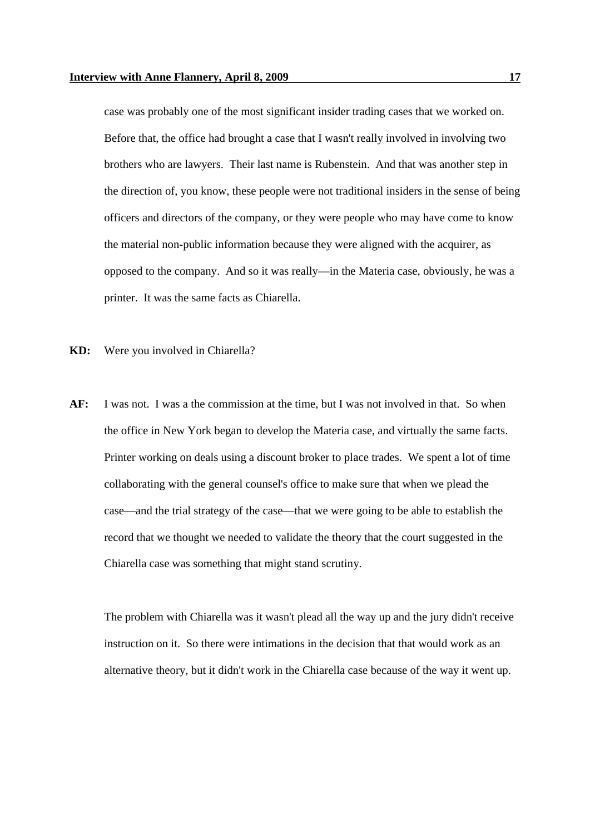case was probably one of the most significant insider trading cases that we worked on. Before that, the office had brought a case that I wasn't really involved in involving two brothers who are lawyers. Their last name is Rubenstein. And that was another step in the direction of, you know, these people were not traditional insiders in the sense of being officers and directors of the company, or they were people who may have come to know the material non-public information because they were aligned with the acquirer, as opposed to the company. And so it was really—in the Materia case, obviously, he was a printer. It was the same facts as Chiarella.

- **KD:** Were you involved in Chiarella?
- **AF:** I was not. I was a the commission at the time, but I was not involved in that. So when the office in New York began to develop the Materia case, and virtually the same facts. Printer working on deals using a discount broker to place trades. We spent a lot of time collaborating with the general counsel's office to make sure that when we plead the case—and the trial strategy of the case—that we were going to be able to establish the record that we thought we needed to validate the theory that the court suggested in the Chiarella case was something that might stand scrutiny.

The problem with Chiarella was it wasn't plead all the way up and the jury didn't receive instruction on it. So there were intimations in the decision that that would work as an alternative theory, but it didn't work in the Chiarella case because of the way it went up.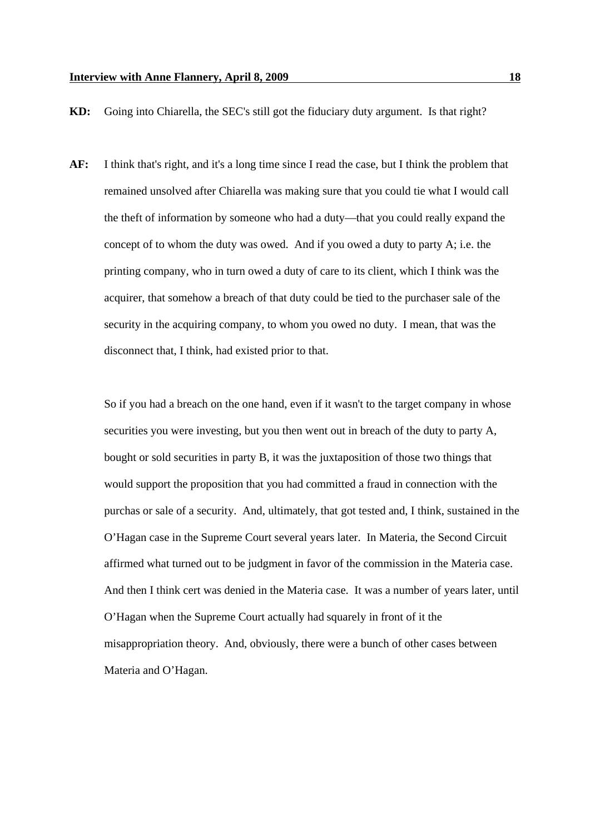**KD:** Going into Chiarella, the SEC's still got the fiduciary duty argument. Is that right?

**AF:** I think that's right, and it's a long time since I read the case, but I think the problem that remained unsolved after Chiarella was making sure that you could tie what I would call the theft of information by someone who had a duty—that you could really expand the concept of to whom the duty was owed. And if you owed a duty to party A; i.e. the printing company, who in turn owed a duty of care to its client, which I think was the acquirer, that somehow a breach of that duty could be tied to the purchaser sale of the security in the acquiring company, to whom you owed no duty. I mean, that was the disconnect that, I think, had existed prior to that.

So if you had a breach on the one hand, even if it wasn't to the target company in whose securities you were investing, but you then went out in breach of the duty to party A, bought or sold securities in party B, it was the juxtaposition of those two things that would support the proposition that you had committed a fraud in connection with the purchas or sale of a security. And, ultimately, that got tested and, I think, sustained in the O'Hagan case in the Supreme Court several years later. In Materia, the Second Circuit affirmed what turned out to be judgment in favor of the commission in the Materia case. And then I think cert was denied in the Materia case. It was a number of years later, until O'Hagan when the Supreme Court actually had squarely in front of it the misappropriation theory. And, obviously, there were a bunch of other cases between Materia and O'Hagan.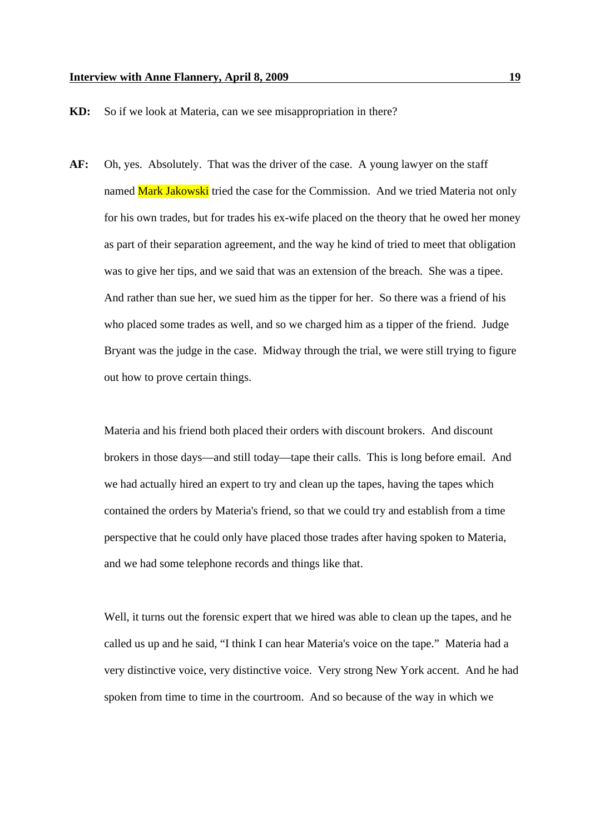**KD:** So if we look at Materia, can we see misappropriation in there?

**AF:** Oh, yes. Absolutely. That was the driver of the case. A young lawyer on the staff named Mark Jakowski tried the case for the Commission. And we tried Materia not only for his own trades, but for trades his ex-wife placed on the theory that he owed her money as part of their separation agreement, and the way he kind of tried to meet that obligation was to give her tips, and we said that was an extension of the breach. She was a tipee. And rather than sue her, we sued him as the tipper for her. So there was a friend of his who placed some trades as well, and so we charged him as a tipper of the friend. Judge Bryant was the judge in the case. Midway through the trial, we were still trying to figure out how to prove certain things.

Materia and his friend both placed their orders with discount brokers. And discount brokers in those days—and still today—tape their calls. This is long before email. And we had actually hired an expert to try and clean up the tapes, having the tapes which contained the orders by Materia's friend, so that we could try and establish from a time perspective that he could only have placed those trades after having spoken to Materia, and we had some telephone records and things like that.

Well, it turns out the forensic expert that we hired was able to clean up the tapes, and he called us up and he said, "I think I can hear Materia's voice on the tape." Materia had a very distinctive voice, very distinctive voice. Very strong New York accent. And he had spoken from time to time in the courtroom. And so because of the way in which we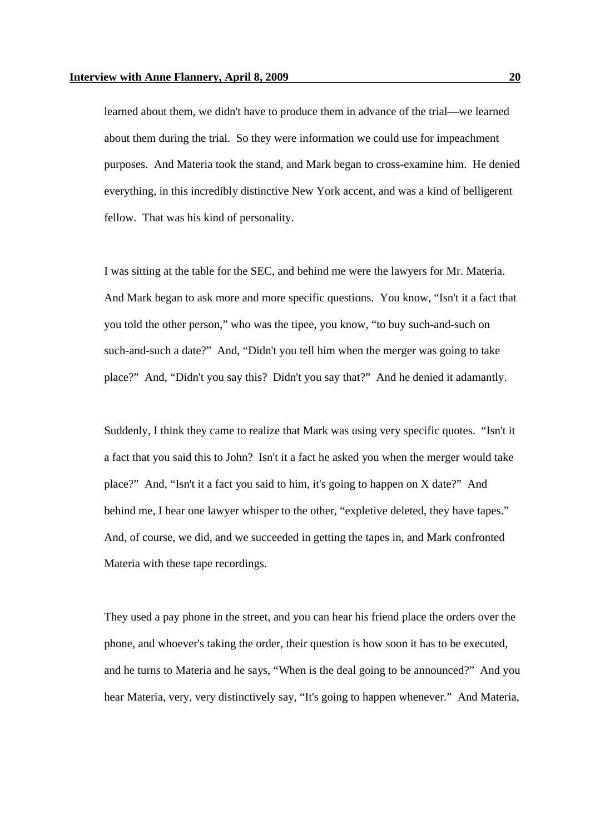learned about them, we didn't have to produce them in advance of the trial—we learned about them during the trial. So they were information we could use for impeachment purposes. And Materia took the stand, and Mark began to cross-examine him. He denied everything, in this incredibly distinctive New York accent, and was a kind of belligerent fellow. That was his kind of personality.

I was sitting at the table for the SEC, and behind me were the lawyers for Mr. Materia. And Mark began to ask more and more specific questions. You know, "Isn't it a fact that you told the other person," who was the tipee, you know, "to buy such-and-such on such-and-such a date?" And, "Didn't you tell him when the merger was going to take place?" And, "Didn't you say this? Didn't you say that?" And he denied it adamantly.

Suddenly, I think they came to realize that Mark was using very specific quotes. "Isn't it a fact that you said this to John? Isn't it a fact he asked you when the merger would take place?" And, "Isn't it a fact you said to him, it's going to happen on X date?" And behind me, I hear one lawyer whisper to the other, "expletive deleted, they have tapes." And, of course, we did, and we succeeded in getting the tapes in, and Mark confronted Materia with these tape recordings.

They used a pay phone in the street, and you can hear his friend place the orders over the phone, and whoever's taking the order, their question is how soon it has to be executed, and he turns to Materia and he says, "When is the deal going to be announced?" And you hear Materia, very, very distinctively say, "It's going to happen whenever." And Materia,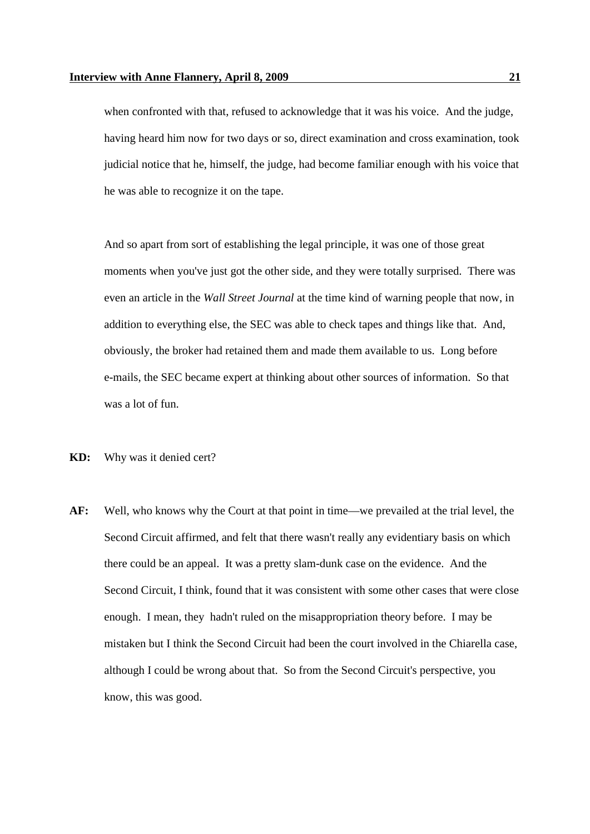when confronted with that, refused to acknowledge that it was his voice. And the judge, having heard him now for two days or so, direct examination and cross examination, took judicial notice that he, himself, the judge, had become familiar enough with his voice that he was able to recognize it on the tape.

And so apart from sort of establishing the legal principle, it was one of those great moments when you've just got the other side, and they were totally surprised. There was even an article in the *Wall Street Journal* at the time kind of warning people that now, in addition to everything else, the SEC was able to check tapes and things like that. And, obviously, the broker had retained them and made them available to us. Long before e-mails, the SEC became expert at thinking about other sources of information. So that was a lot of fun.

- **KD:** Why was it denied cert?
- **AF:** Well, who knows why the Court at that point in time—we prevailed at the trial level, the Second Circuit affirmed, and felt that there wasn't really any evidentiary basis on which there could be an appeal. It was a pretty slam-dunk case on the evidence. And the Second Circuit, I think, found that it was consistent with some other cases that were close enough. I mean, they hadn't ruled on the misappropriation theory before. I may be mistaken but I think the Second Circuit had been the court involved in the Chiarella case, although I could be wrong about that. So from the Second Circuit's perspective, you know, this was good.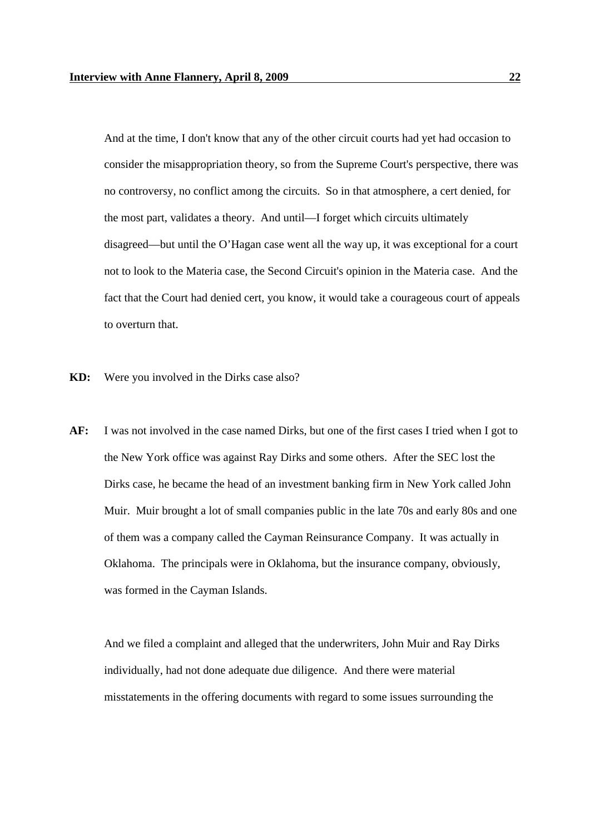And at the time, I don't know that any of the other circuit courts had yet had occasion to consider the misappropriation theory, so from the Supreme Court's perspective, there was no controversy, no conflict among the circuits. So in that atmosphere, a cert denied, for the most part, validates a theory. And until—I forget which circuits ultimately disagreed—but until the O'Hagan case went all the way up, it was exceptional for a court not to look to the Materia case, the Second Circuit's opinion in the Materia case. And the fact that the Court had denied cert, you know, it would take a courageous court of appeals to overturn that.

- **KD:** Were you involved in the Dirks case also?
- **AF:** I was not involved in the case named Dirks, but one of the first cases I tried when I got to the New York office was against Ray Dirks and some others. After the SEC lost the Dirks case, he became the head of an investment banking firm in New York called John Muir. Muir brought a lot of small companies public in the late 70s and early 80s and one of them was a company called the Cayman Reinsurance Company. It was actually in Oklahoma. The principals were in Oklahoma, but the insurance company, obviously, was formed in the Cayman Islands.

And we filed a complaint and alleged that the underwriters, John Muir and Ray Dirks individually, had not done adequate due diligence. And there were material misstatements in the offering documents with regard to some issues surrounding the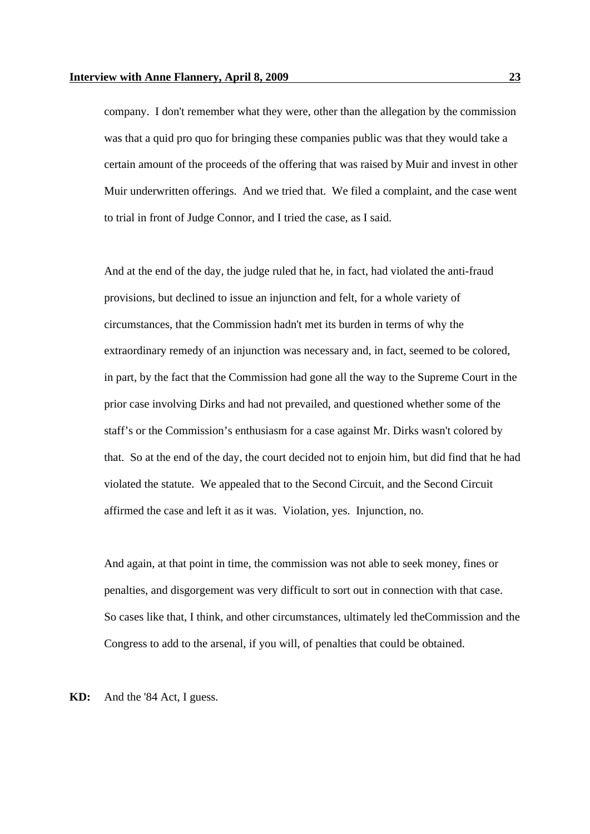company. I don't remember what they were, other than the allegation by the commission was that a quid pro quo for bringing these companies public was that they would take a certain amount of the proceeds of the offering that was raised by Muir and invest in other Muir underwritten offerings. And we tried that. We filed a complaint, and the case went to trial in front of Judge Connor, and I tried the case, as I said.

And at the end of the day, the judge ruled that he, in fact, had violated the anti-fraud provisions, but declined to issue an injunction and felt, for a whole variety of circumstances, that the Commission hadn't met its burden in terms of why the extraordinary remedy of an injunction was necessary and, in fact, seemed to be colored, in part, by the fact that the Commission had gone all the way to the Supreme Court in the prior case involving Dirks and had not prevailed, and questioned whether some of the staff's or the Commission's enthusiasm for a case against Mr. Dirks wasn't colored by that. So at the end of the day, the court decided not to enjoin him, but did find that he had violated the statute. We appealed that to the Second Circuit, and the Second Circuit affirmed the case and left it as it was. Violation, yes. Injunction, no.

And again, at that point in time, the commission was not able to seek money, fines or penalties, and disgorgement was very difficult to sort out in connection with that case. So cases like that, I think, and other circumstances, ultimately led theCommission and the Congress to add to the arsenal, if you will, of penalties that could be obtained.

**KD:** And the '84 Act, I guess.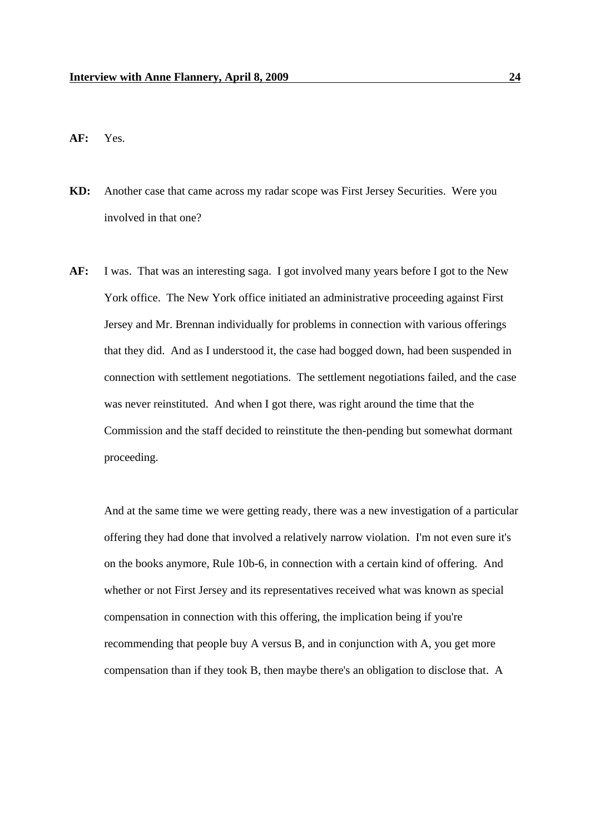**AF:** Yes.

- **KD:** Another case that came across my radar scope was First Jersey Securities. Were you involved in that one?
- **AF:** I was. That was an interesting saga. I got involved many years before I got to the New York office. The New York office initiated an administrative proceeding against First Jersey and Mr. Brennan individually for problems in connection with various offerings that they did. And as I understood it, the case had bogged down, had been suspended in connection with settlement negotiations. The settlement negotiations failed, and the case was never reinstituted. And when I got there, was right around the time that the Commission and the staff decided to reinstitute the then-pending but somewhat dormant proceeding.

And at the same time we were getting ready, there was a new investigation of a particular offering they had done that involved a relatively narrow violation. I'm not even sure it's on the books anymore, Rule 10b-6, in connection with a certain kind of offering. And whether or not First Jersey and its representatives received what was known as special compensation in connection with this offering, the implication being if you're recommending that people buy A versus B, and in conjunction with A, you get more compensation than if they took B, then maybe there's an obligation to disclose that. A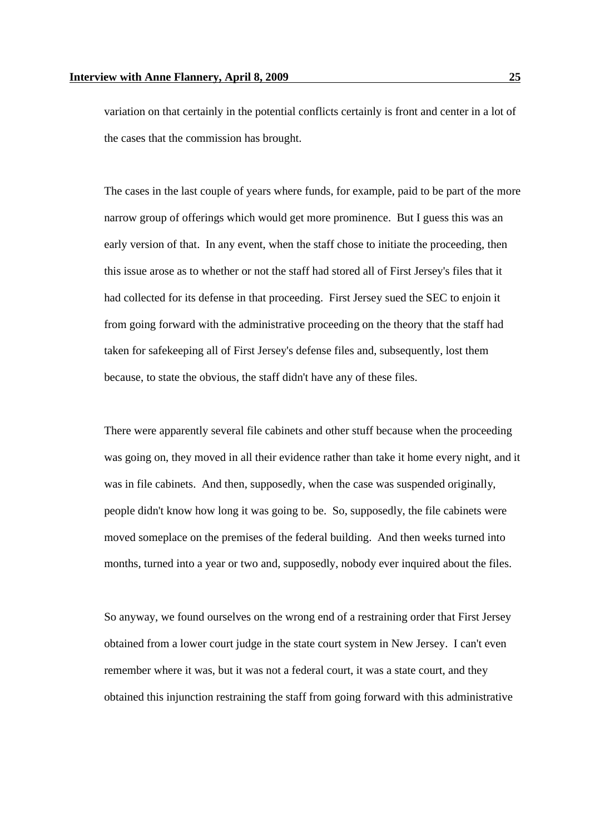variation on that certainly in the potential conflicts certainly is front and center in a lot of the cases that the commission has brought.

The cases in the last couple of years where funds, for example, paid to be part of the more narrow group of offerings which would get more prominence. But I guess this was an early version of that. In any event, when the staff chose to initiate the proceeding, then this issue arose as to whether or not the staff had stored all of First Jersey's files that it had collected for its defense in that proceeding. First Jersey sued the SEC to enjoin it from going forward with the administrative proceeding on the theory that the staff had taken for safekeeping all of First Jersey's defense files and, subsequently, lost them because, to state the obvious, the staff didn't have any of these files.

There were apparently several file cabinets and other stuff because when the proceeding was going on, they moved in all their evidence rather than take it home every night, and it was in file cabinets. And then, supposedly, when the case was suspended originally, people didn't know how long it was going to be. So, supposedly, the file cabinets were moved someplace on the premises of the federal building. And then weeks turned into months, turned into a year or two and, supposedly, nobody ever inquired about the files.

So anyway, we found ourselves on the wrong end of a restraining order that First Jersey obtained from a lower court judge in the state court system in New Jersey. I can't even remember where it was, but it was not a federal court, it was a state court, and they obtained this injunction restraining the staff from going forward with this administrative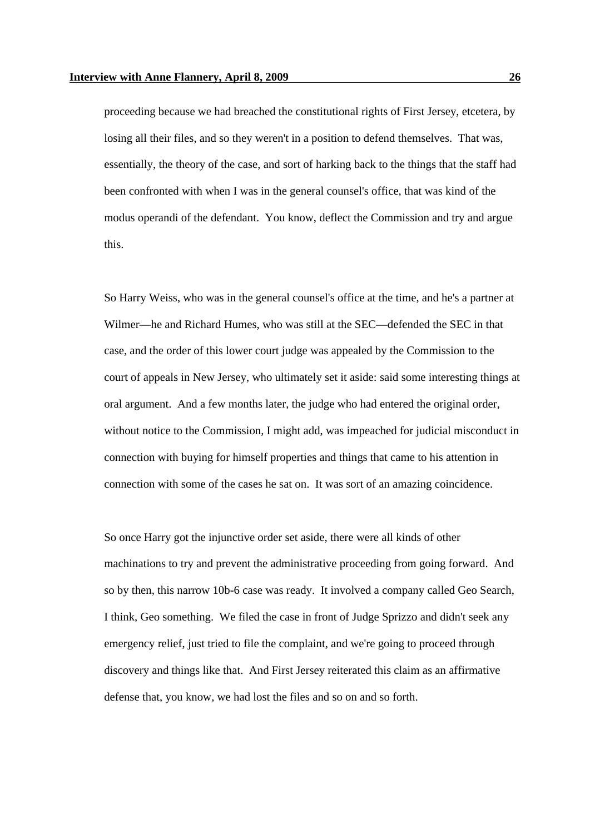proceeding because we had breached the constitutional rights of First Jersey, etcetera, by losing all their files, and so they weren't in a position to defend themselves. That was, essentially, the theory of the case, and sort of harking back to the things that the staff had been confronted with when I was in the general counsel's office, that was kind of the modus operandi of the defendant. You know, deflect the Commission and try and argue this.

So Harry Weiss, who was in the general counsel's office at the time, and he's a partner at Wilmer—he and Richard Humes, who was still at the SEC—defended the SEC in that case, and the order of this lower court judge was appealed by the Commission to the court of appeals in New Jersey, who ultimately set it aside: said some interesting things at oral argument. And a few months later, the judge who had entered the original order, without notice to the Commission, I might add, was impeached for judicial misconduct in connection with buying for himself properties and things that came to his attention in connection with some of the cases he sat on. It was sort of an amazing coincidence.

So once Harry got the injunctive order set aside, there were all kinds of other machinations to try and prevent the administrative proceeding from going forward. And so by then, this narrow 10b-6 case was ready. It involved a company called Geo Search, I think, Geo something. We filed the case in front of Judge Sprizzo and didn't seek any emergency relief, just tried to file the complaint, and we're going to proceed through discovery and things like that. And First Jersey reiterated this claim as an affirmative defense that, you know, we had lost the files and so on and so forth.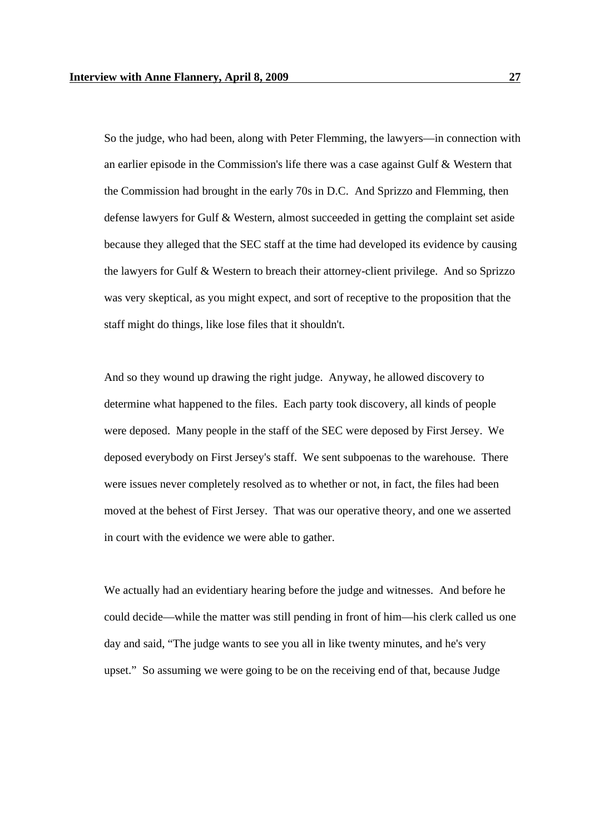So the judge, who had been, along with Peter Flemming, the lawyers—in connection with an earlier episode in the Commission's life there was a case against Gulf & Western that the Commission had brought in the early 70s in D.C. And Sprizzo and Flemming, then defense lawyers for Gulf & Western, almost succeeded in getting the complaint set aside because they alleged that the SEC staff at the time had developed its evidence by causing the lawyers for Gulf & Western to breach their attorney-client privilege. And so Sprizzo was very skeptical, as you might expect, and sort of receptive to the proposition that the staff might do things, like lose files that it shouldn't.

And so they wound up drawing the right judge. Anyway, he allowed discovery to determine what happened to the files. Each party took discovery, all kinds of people were deposed. Many people in the staff of the SEC were deposed by First Jersey. We deposed everybody on First Jersey's staff. We sent subpoenas to the warehouse. There were issues never completely resolved as to whether or not, in fact, the files had been moved at the behest of First Jersey. That was our operative theory, and one we asserted in court with the evidence we were able to gather.

We actually had an evidentiary hearing before the judge and witnesses. And before he could decide—while the matter was still pending in front of him—his clerk called us one day and said, "The judge wants to see you all in like twenty minutes, and he's very upset." So assuming we were going to be on the receiving end of that, because Judge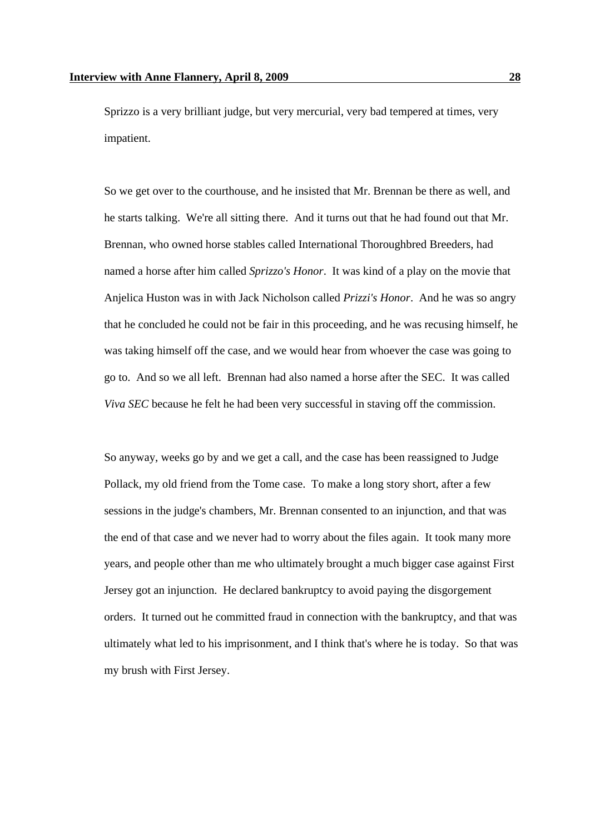Sprizzo is a very brilliant judge, but very mercurial, very bad tempered at times, very impatient.

So we get over to the courthouse, and he insisted that Mr. Brennan be there as well, and he starts talking. We're all sitting there. And it turns out that he had found out that Mr. Brennan, who owned horse stables called International Thoroughbred Breeders, had named a horse after him called *Sprizzo's Honor*. It was kind of a play on the movie that Anjelica Huston was in with Jack Nicholson called *Prizzi's Honor*. And he was so angry that he concluded he could not be fair in this proceeding, and he was recusing himself, he was taking himself off the case, and we would hear from whoever the case was going to go to. And so we all left. Brennan had also named a horse after the SEC. It was called *Viva SEC* because he felt he had been very successful in staving off the commission.

So anyway, weeks go by and we get a call, and the case has been reassigned to Judge Pollack, my old friend from the Tome case. To make a long story short, after a few sessions in the judge's chambers, Mr. Brennan consented to an injunction, and that was the end of that case and we never had to worry about the files again. It took many more years, and people other than me who ultimately brought a much bigger case against First Jersey got an injunction. He declared bankruptcy to avoid paying the disgorgement orders. It turned out he committed fraud in connection with the bankruptcy, and that was ultimately what led to his imprisonment, and I think that's where he is today. So that was my brush with First Jersey.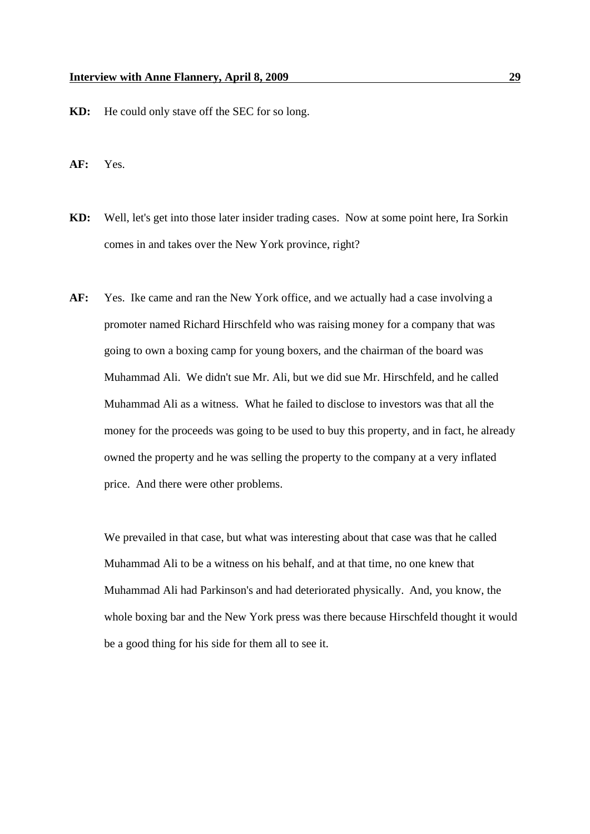- **KD:** He could only stave off the SEC for so long.
- **AF:** Yes.
- **KD:** Well, let's get into those later insider trading cases. Now at some point here, Ira Sorkin comes in and takes over the New York province, right?
- **AF:** Yes. Ike came and ran the New York office, and we actually had a case involving a promoter named Richard Hirschfeld who was raising money for a company that was going to own a boxing camp for young boxers, and the chairman of the board was Muhammad Ali. We didn't sue Mr. Ali, but we did sue Mr. Hirschfeld, and he called Muhammad Ali as a witness. What he failed to disclose to investors was that all the money for the proceeds was going to be used to buy this property, and in fact, he already owned the property and he was selling the property to the company at a very inflated price. And there were other problems.

We prevailed in that case, but what was interesting about that case was that he called Muhammad Ali to be a witness on his behalf, and at that time, no one knew that Muhammad Ali had Parkinson's and had deteriorated physically. And, you know, the whole boxing bar and the New York press was there because Hirschfeld thought it would be a good thing for his side for them all to see it.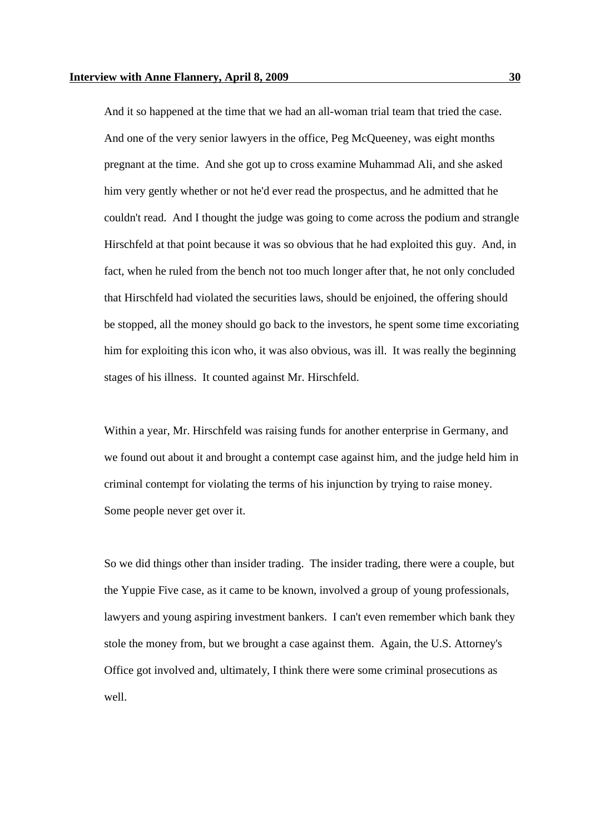And it so happened at the time that we had an all-woman trial team that tried the case. And one of the very senior lawyers in the office, Peg McQueeney, was eight months pregnant at the time. And she got up to cross examine Muhammad Ali, and she asked him very gently whether or not he'd ever read the prospectus, and he admitted that he couldn't read. And I thought the judge was going to come across the podium and strangle Hirschfeld at that point because it was so obvious that he had exploited this guy. And, in fact, when he ruled from the bench not too much longer after that, he not only concluded that Hirschfeld had violated the securities laws, should be enjoined, the offering should be stopped, all the money should go back to the investors, he spent some time excoriating him for exploiting this icon who, it was also obvious, was ill. It was really the beginning stages of his illness. It counted against Mr. Hirschfeld.

Within a year, Mr. Hirschfeld was raising funds for another enterprise in Germany, and we found out about it and brought a contempt case against him, and the judge held him in criminal contempt for violating the terms of his injunction by trying to raise money. Some people never get over it.

So we did things other than insider trading. The insider trading, there were a couple, but the Yuppie Five case, as it came to be known, involved a group of young professionals, lawyers and young aspiring investment bankers. I can't even remember which bank they stole the money from, but we brought a case against them. Again, the U.S. Attorney's Office got involved and, ultimately, I think there were some criminal prosecutions as well.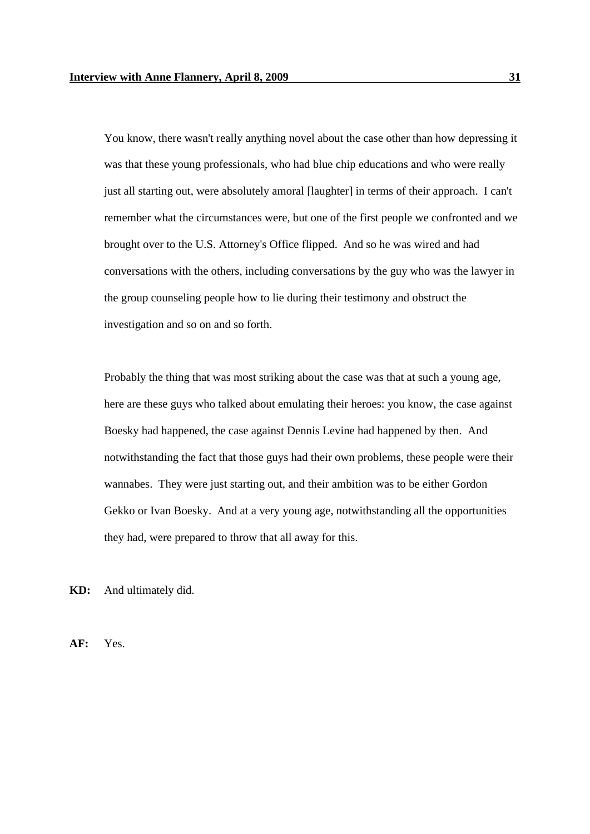You know, there wasn't really anything novel about the case other than how depressing it was that these young professionals, who had blue chip educations and who were really just all starting out, were absolutely amoral [laughter] in terms of their approach. I can't remember what the circumstances were, but one of the first people we confronted and we brought over to the U.S. Attorney's Office flipped. And so he was wired and had conversations with the others, including conversations by the guy who was the lawyer in the group counseling people how to lie during their testimony and obstruct the investigation and so on and so forth.

Probably the thing that was most striking about the case was that at such a young age, here are these guys who talked about emulating their heroes: you know, the case against Boesky had happened, the case against Dennis Levine had happened by then. And notwithstanding the fact that those guys had their own problems, these people were their wannabes. They were just starting out, and their ambition was to be either Gordon Gekko or Ivan Boesky. And at a very young age, notwithstanding all the opportunities they had, were prepared to throw that all away for this.

**KD:** And ultimately did.

**AF:** Yes.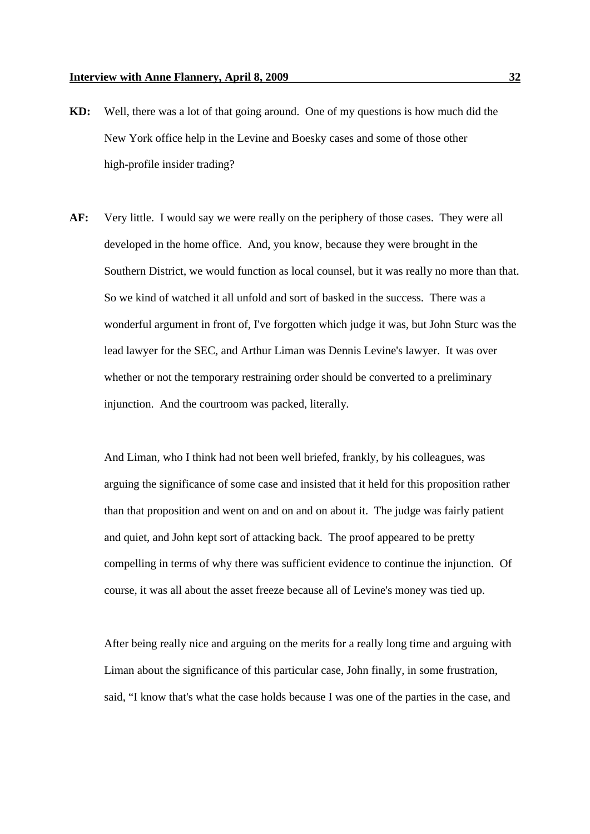- **KD:** Well, there was a lot of that going around. One of my questions is how much did the New York office help in the Levine and Boesky cases and some of those other high-profile insider trading?
- **AF:** Very little. I would say we were really on the periphery of those cases. They were all developed in the home office. And, you know, because they were brought in the Southern District, we would function as local counsel, but it was really no more than that. So we kind of watched it all unfold and sort of basked in the success. There was a wonderful argument in front of, I've forgotten which judge it was, but John Sturc was the lead lawyer for the SEC, and Arthur Liman was Dennis Levine's lawyer. It was over whether or not the temporary restraining order should be converted to a preliminary injunction. And the courtroom was packed, literally.

And Liman, who I think had not been well briefed, frankly, by his colleagues, was arguing the significance of some case and insisted that it held for this proposition rather than that proposition and went on and on and on about it. The judge was fairly patient and quiet, and John kept sort of attacking back. The proof appeared to be pretty compelling in terms of why there was sufficient evidence to continue the injunction. Of course, it was all about the asset freeze because all of Levine's money was tied up.

After being really nice and arguing on the merits for a really long time and arguing with Liman about the significance of this particular case, John finally, in some frustration, said, "I know that's what the case holds because I was one of the parties in the case, and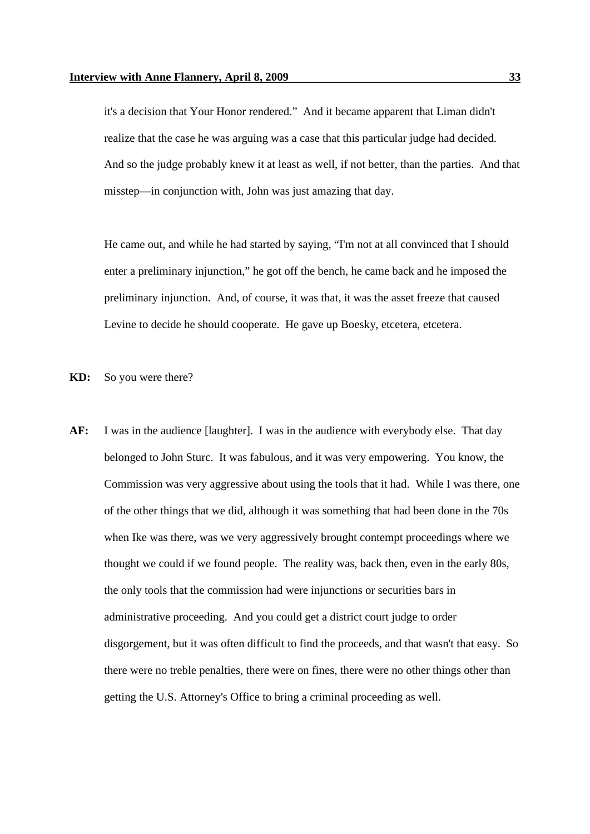it's a decision that Your Honor rendered." And it became apparent that Liman didn't realize that the case he was arguing was a case that this particular judge had decided. And so the judge probably knew it at least as well, if not better, than the parties. And that misstep—in conjunction with, John was just amazing that day.

He came out, and while he had started by saying, "I'm not at all convinced that I should enter a preliminary injunction," he got off the bench, he came back and he imposed the preliminary injunction. And, of course, it was that, it was the asset freeze that caused Levine to decide he should cooperate. He gave up Boesky, etcetera, etcetera.

**KD:** So you were there?

**AF:** I was in the audience [laughter]. I was in the audience with everybody else. That day belonged to John Sturc. It was fabulous, and it was very empowering. You know, the Commission was very aggressive about using the tools that it had. While I was there, one of the other things that we did, although it was something that had been done in the 70s when Ike was there, was we very aggressively brought contempt proceedings where we thought we could if we found people. The reality was, back then, even in the early 80s, the only tools that the commission had were injunctions or securities bars in administrative proceeding. And you could get a district court judge to order disgorgement, but it was often difficult to find the proceeds, and that wasn't that easy. So there were no treble penalties, there were on fines, there were no other things other than getting the U.S. Attorney's Office to bring a criminal proceeding as well.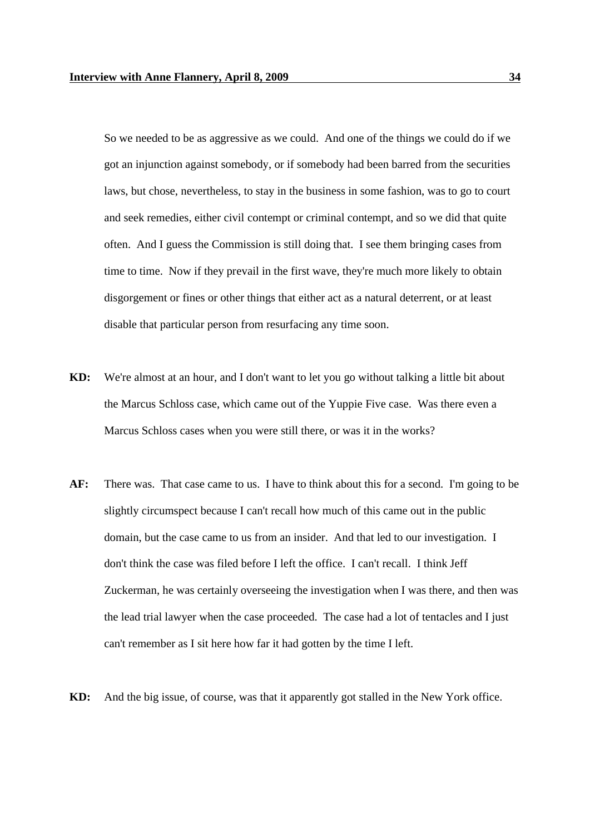So we needed to be as aggressive as we could. And one of the things we could do if we got an injunction against somebody, or if somebody had been barred from the securities laws, but chose, nevertheless, to stay in the business in some fashion, was to go to court and seek remedies, either civil contempt or criminal contempt, and so we did that quite often. And I guess the Commission is still doing that. I see them bringing cases from time to time. Now if they prevail in the first wave, they're much more likely to obtain disgorgement or fines or other things that either act as a natural deterrent, or at least disable that particular person from resurfacing any time soon.

- **KD:** We're almost at an hour, and I don't want to let you go without talking a little bit about the Marcus Schloss case, which came out of the Yuppie Five case. Was there even a Marcus Schloss cases when you were still there, or was it in the works?
- **AF:** There was. That case came to us. I have to think about this for a second. I'm going to be slightly circumspect because I can't recall how much of this came out in the public domain, but the case came to us from an insider. And that led to our investigation. I don't think the case was filed before I left the office. I can't recall. I think Jeff Zuckerman, he was certainly overseeing the investigation when I was there, and then was the lead trial lawyer when the case proceeded. The case had a lot of tentacles and I just can't remember as I sit here how far it had gotten by the time I left.
- **KD:** And the big issue, of course, was that it apparently got stalled in the New York office.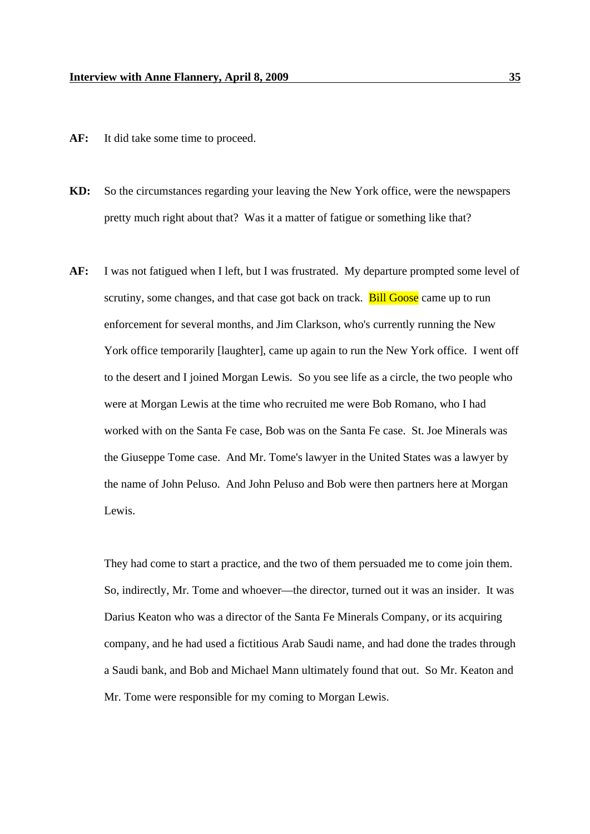- AF: It did take some time to proceed.
- **KD:** So the circumstances regarding your leaving the New York office, were the newspapers pretty much right about that? Was it a matter of fatigue or something like that?
- **AF:** I was not fatigued when I left, but I was frustrated. My departure prompted some level of scrutiny, some changes, and that case got back on track. **Bill Goose** came up to run enforcement for several months, and Jim Clarkson, who's currently running the New York office temporarily [laughter], came up again to run the New York office. I went off to the desert and I joined Morgan Lewis. So you see life as a circle, the two people who were at Morgan Lewis at the time who recruited me were Bob Romano, who I had worked with on the Santa Fe case, Bob was on the Santa Fe case. St. Joe Minerals was the Giuseppe Tome case. And Mr. Tome's lawyer in the United States was a lawyer by the name of John Peluso. And John Peluso and Bob were then partners here at Morgan Lewis.

They had come to start a practice, and the two of them persuaded me to come join them. So, indirectly, Mr. Tome and whoever—the director, turned out it was an insider. It was Darius Keaton who was a director of the Santa Fe Minerals Company, or its acquiring company, and he had used a fictitious Arab Saudi name, and had done the trades through a Saudi bank, and Bob and Michael Mann ultimately found that out. So Mr. Keaton and Mr. Tome were responsible for my coming to Morgan Lewis.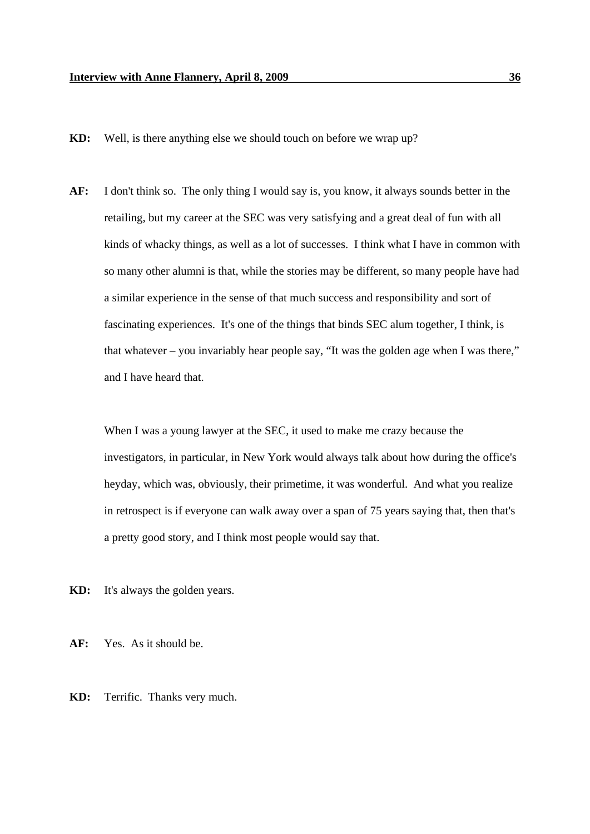**KD:** Well, is there anything else we should touch on before we wrap up?

**AF:** I don't think so. The only thing I would say is, you know, it always sounds better in the retailing, but my career at the SEC was very satisfying and a great deal of fun with all kinds of whacky things, as well as a lot of successes. I think what I have in common with so many other alumni is that, while the stories may be different, so many people have had a similar experience in the sense of that much success and responsibility and sort of fascinating experiences. It's one of the things that binds SEC alum together, I think, is that whatever – you invariably hear people say, "It was the golden age when I was there," and I have heard that.

When I was a young lawyer at the SEC, it used to make me crazy because the investigators, in particular, in New York would always talk about how during the office's heyday, which was, obviously, their primetime, it was wonderful. And what you realize in retrospect is if everyone can walk away over a span of 75 years saying that, then that's a pretty good story, and I think most people would say that.

**KD:** It's always the golden years.

**AF:** Yes. As it should be.

**KD:** Terrific. Thanks very much.